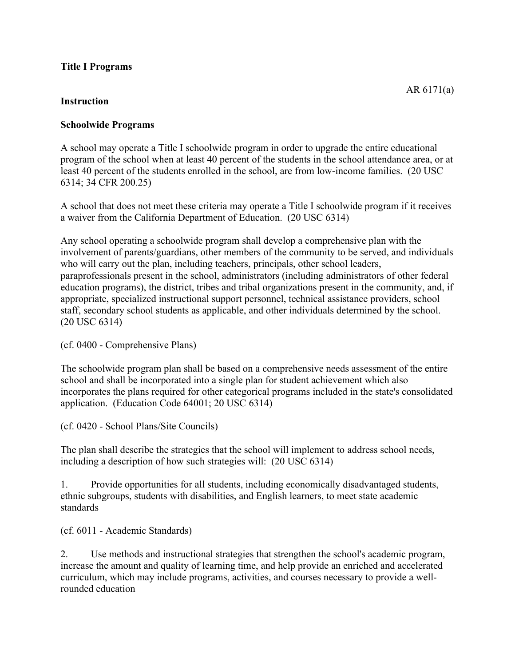### **Title I Programs**

### **Instruction**

# **Schoolwide Programs**

A school may operate a Title I schoolwide program in order to upgrade the entire educational program of the school when at least 40 percent of the students in the school attendance area, or at least 40 percent of the students enrolled in the school, are from low-income families. (20 USC 6314; 34 CFR 200.25)

A school that does not meet these criteria may operate a Title I schoolwide program if it receives a waiver from the California Department of Education. (20 USC 6314)

Any school operating a schoolwide program shall develop a comprehensive plan with the involvement of parents/guardians, other members of the community to be served, and individuals who will carry out the plan, including teachers, principals, other school leaders, paraprofessionals present in the school, administrators (including administrators of other federal education programs), the district, tribes and tribal organizations present in the community, and, if appropriate, specialized instructional support personnel, technical assistance providers, school staff, secondary school students as applicable, and other individuals determined by the school. (20 USC 6314)

(cf. 0400 - Comprehensive Plans)

The schoolwide program plan shall be based on a comprehensive needs assessment of the entire school and shall be incorporated into a single plan for student achievement which also incorporates the plans required for other categorical programs included in the state's consolidated application. (Education Code 64001; 20 USC 6314)

(cf. 0420 - School Plans/Site Councils)

The plan shall describe the strategies that the school will implement to address school needs, including a description of how such strategies will: (20 USC 6314)

1. Provide opportunities for all students, including economically disadvantaged students, ethnic subgroups, students with disabilities, and English learners, to meet state academic standards

(cf. 6011 - Academic Standards)

2. Use methods and instructional strategies that strengthen the school's academic program, increase the amount and quality of learning time, and help provide an enriched and accelerated curriculum, which may include programs, activities, and courses necessary to provide a wellrounded education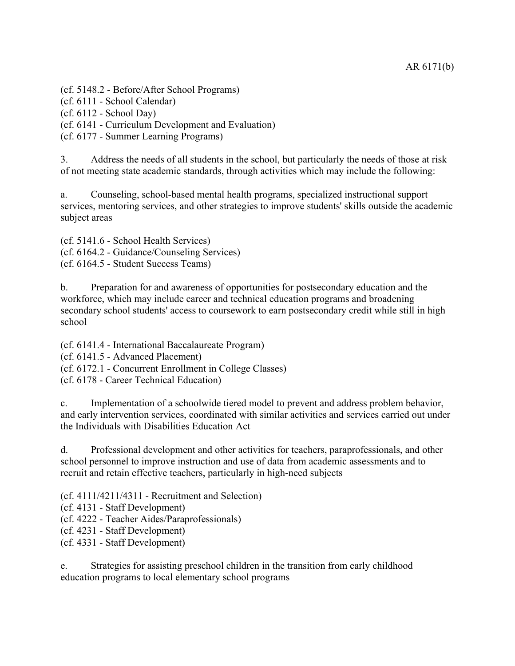(cf. 5148.2 - Before/After School Programs)

(cf. 6111 - School Calendar)

(cf. 6112 - School Day)

(cf. 6141 - Curriculum Development and Evaluation)

(cf. 6177 - Summer Learning Programs)

3. Address the needs of all students in the school, but particularly the needs of those at risk of not meeting state academic standards, through activities which may include the following:

a. Counseling, school-based mental health programs, specialized instructional support services, mentoring services, and other strategies to improve students' skills outside the academic subject areas

(cf. 5141.6 - School Health Services) (cf. 6164.2 - Guidance/Counseling Services) (cf. 6164.5 - Student Success Teams)

b. Preparation for and awareness of opportunities for postsecondary education and the workforce, which may include career and technical education programs and broadening secondary school students' access to coursework to earn postsecondary credit while still in high school

(cf. 6141.4 - International Baccalaureate Program)

(cf. 6141.5 - Advanced Placement)

(cf. 6172.1 - Concurrent Enrollment in College Classes)

(cf. 6178 - Career Technical Education)

c. Implementation of a schoolwide tiered model to prevent and address problem behavior, and early intervention services, coordinated with similar activities and services carried out under the Individuals with Disabilities Education Act

d. Professional development and other activities for teachers, paraprofessionals, and other school personnel to improve instruction and use of data from academic assessments and to recruit and retain effective teachers, particularly in high-need subjects

(cf. 4111/4211/4311 - Recruitment and Selection)

(cf. 4131 - Staff Development)

(cf. 4222 - Teacher Aides/Paraprofessionals)

(cf. 4231 - Staff Development)

(cf. 4331 - Staff Development)

e. Strategies for assisting preschool children in the transition from early childhood education programs to local elementary school programs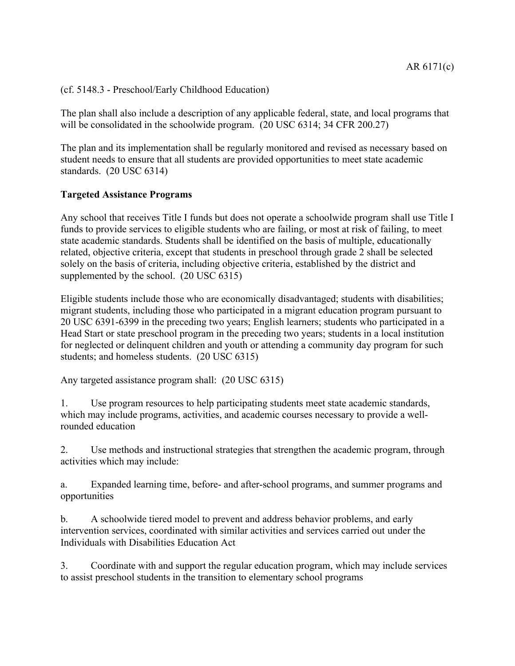(cf. 5148.3 - Preschool/Early Childhood Education)

The plan shall also include a description of any applicable federal, state, and local programs that will be consolidated in the schoolwide program. (20 USC 6314; 34 CFR 200.27)

The plan and its implementation shall be regularly monitored and revised as necessary based on student needs to ensure that all students are provided opportunities to meet state academic standards. (20 USC 6314)

## **Targeted Assistance Programs**

Any school that receives Title I funds but does not operate a schoolwide program shall use Title I funds to provide services to eligible students who are failing, or most at risk of failing, to meet state academic standards. Students shall be identified on the basis of multiple, educationally related, objective criteria, except that students in preschool through grade 2 shall be selected solely on the basis of criteria, including objective criteria, established by the district and supplemented by the school. (20 USC 6315)

Eligible students include those who are economically disadvantaged; students with disabilities; migrant students, including those who participated in a migrant education program pursuant to 20 USC 6391-6399 in the preceding two years; English learners; students who participated in a Head Start or state preschool program in the preceding two years; students in a local institution for neglected or delinquent children and youth or attending a community day program for such students; and homeless students. (20 USC 6315)

Any targeted assistance program shall: (20 USC 6315)

1. Use program resources to help participating students meet state academic standards, which may include programs, activities, and academic courses necessary to provide a wellrounded education

2. Use methods and instructional strategies that strengthen the academic program, through activities which may include:

a. Expanded learning time, before- and after-school programs, and summer programs and opportunities

b. A schoolwide tiered model to prevent and address behavior problems, and early intervention services, coordinated with similar activities and services carried out under the Individuals with Disabilities Education Act

3. Coordinate with and support the regular education program, which may include services to assist preschool students in the transition to elementary school programs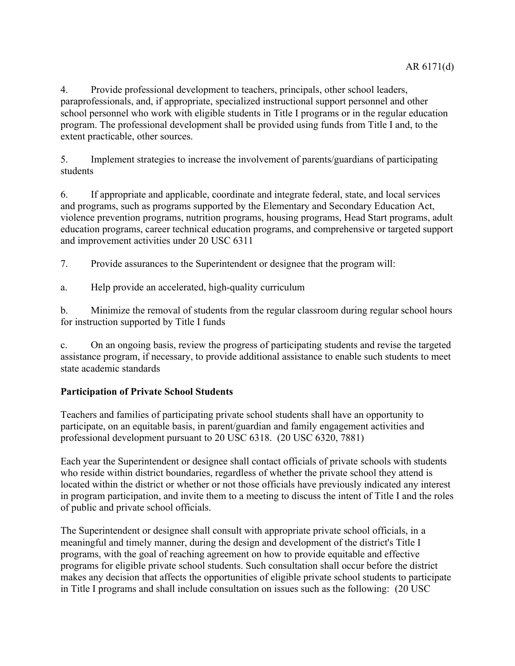4. Provide professional development to teachers, principals, other school leaders, paraprofessionals, and, if appropriate, specialized instructional support personnel and other school personnel who work with eligible students in Title I programs or in the regular education program. The professional development shall be provided using funds from Title I and, to the extent practicable, other sources.

5. Implement strategies to increase the involvement of parents/guardians of participating students

6. If appropriate and applicable, coordinate and integrate federal, state, and local services and programs, such as programs supported by the Elementary and Secondary Education Act, violence prevention programs, nutrition programs, housing programs, Head Start programs, adult education programs, career technical education programs, and comprehensive or targeted support and improvement activities under 20 USC 6311

7. Provide assurances to the Superintendent or designee that the program will:

a. Help provide an accelerated, high-quality curriculum

b. Minimize the removal of students from the regular classroom during regular school hours for instruction supported by Title I funds

c. On an ongoing basis, review the progress of participating students and revise the targeted assistance program, if necessary, to provide additional assistance to enable such students to meet state academic standards

# **Participation of Private School Students**

Teachers and families of participating private school students shall have an opportunity to participate, on an equitable basis, in parent/guardian and family engagement activities and professional development pursuant to 20 USC 6318. (20 USC 6320, 7881)

Each year the Superintendent or designee shall contact officials of private schools with students who reside within district boundaries, regardless of whether the private school they attend is located within the district or whether or not those officials have previously indicated any interest in program participation, and invite them to a meeting to discuss the intent of Title I and the roles of public and private school officials.

The Superintendent or designee shall consult with appropriate private school officials, in a meaningful and timely manner, during the design and development of the district's Title I programs, with the goal of reaching agreement on how to provide equitable and effective programs for eligible private school students. Such consultation shall occur before the district makes any decision that affects the opportunities of eligible private school students to participate in Title I programs and shall include consultation on issues such as the following: (20 USC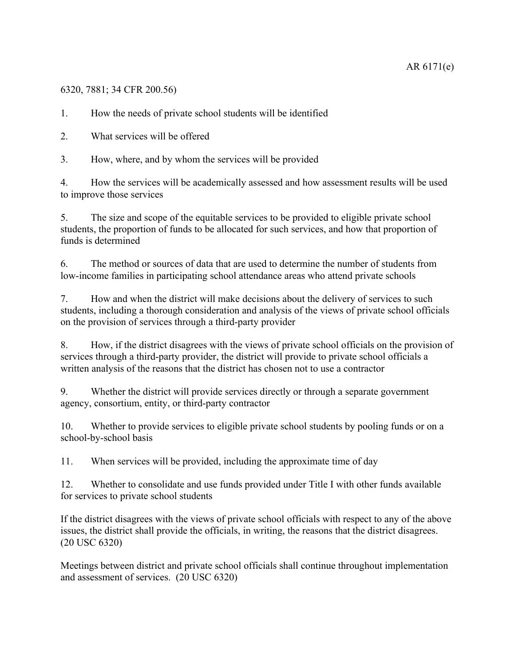# 6320, 7881; 34 CFR 200.56)

1. How the needs of private school students will be identified

2. What services will be offered

3. How, where, and by whom the services will be provided

4. How the services will be academically assessed and how assessment results will be used to improve those services

5. The size and scope of the equitable services to be provided to eligible private school students, the proportion of funds to be allocated for such services, and how that proportion of funds is determined

6. The method or sources of data that are used to determine the number of students from low-income families in participating school attendance areas who attend private schools

7. How and when the district will make decisions about the delivery of services to such students, including a thorough consideration and analysis of the views of private school officials on the provision of services through a third-party provider

8. How, if the district disagrees with the views of private school officials on the provision of services through a third-party provider, the district will provide to private school officials a written analysis of the reasons that the district has chosen not to use a contractor

9. Whether the district will provide services directly or through a separate government agency, consortium, entity, or third-party contractor

10. Whether to provide services to eligible private school students by pooling funds or on a school-by-school basis

11. When services will be provided, including the approximate time of day

12. Whether to consolidate and use funds provided under Title I with other funds available for services to private school students

If the district disagrees with the views of private school officials with respect to any of the above issues, the district shall provide the officials, in writing, the reasons that the district disagrees. (20 USC 6320)

Meetings between district and private school officials shall continue throughout implementation and assessment of services. (20 USC 6320)